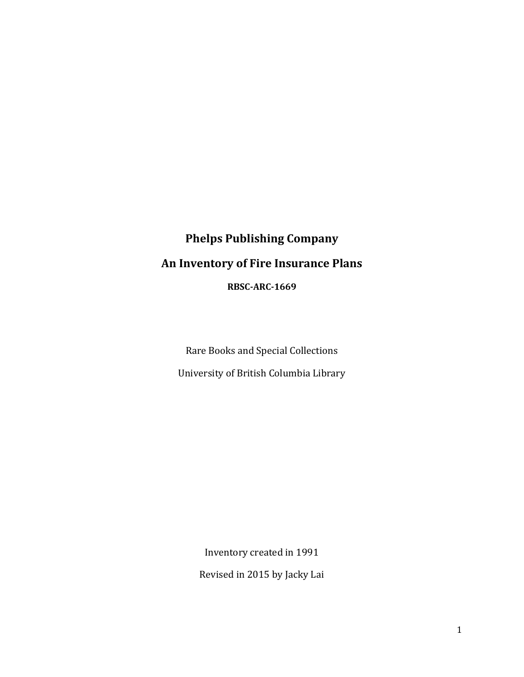# **Phelps Publishing Company An Inventory of Fire Insurance Plans RBSC-ARC-1669**

Rare Books and Special Collections University of British Columbia Library

> Inventory created in 1991 Revised in 2015 by Jacky Lai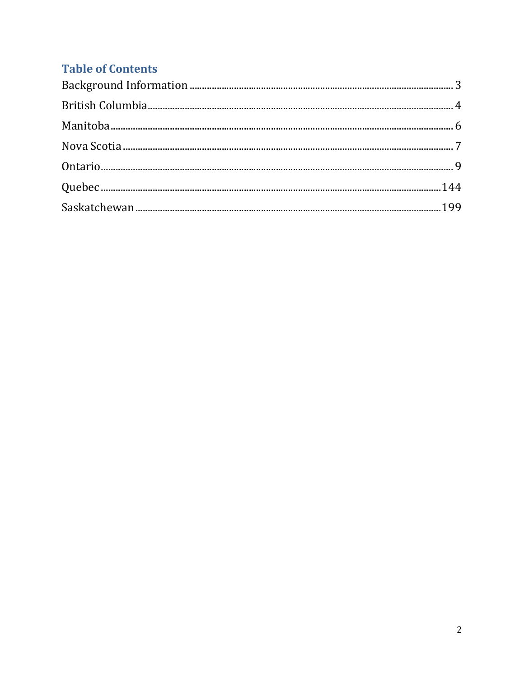## **Table of Contents**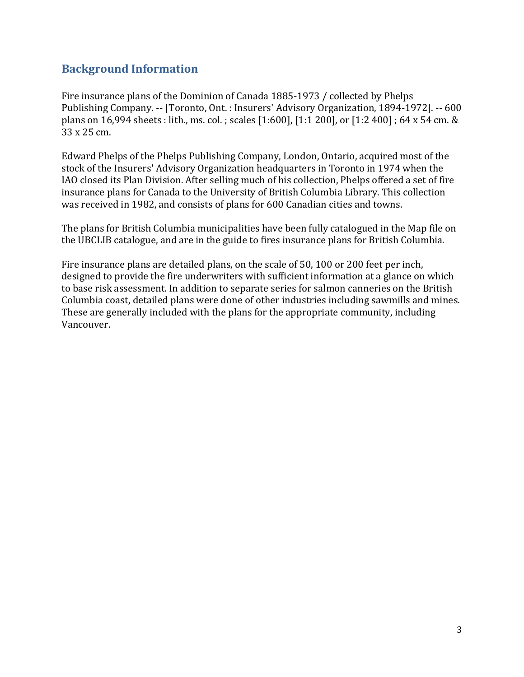#### <span id="page-2-0"></span>**Background Information**

Fire insurance plans of the Dominion of Canada 1885-1973 / collected by Phelps Publishing Company. -- [Toronto, Ont. : Insurers' Advisory Organization, 1894-1972]. -- 600 plans on 16,994 sheets : lith., ms. col. ; scales [1:600], [1:1 200], or [1:2 400] ; 64 x 54 cm. & 33 x 25 cm.

Edward Phelps of the Phelps Publishing Company, London, Ontario, acquired most of the stock of the Insurers' Advisory Organization headquarters in Toronto in 1974 when the IAO closed its Plan Division. After selling much of his collection, Phelps offered a set of fire insurance plans for Canada to the University of British Columbia Library. This collection was received in 1982, and consists of plans for 600 Canadian cities and towns.

The plans for British Columbia municipalities have been fully catalogued in the Map file on the UBCLIB catalogue, and are in the guide to fires insurance plans for British Columbia.

Fire insurance plans are detailed plans, on the scale of 50, 100 or 200 feet per inch, designed to provide the fire underwriters with sufficient information at a glance on which to base risk assessment. In addition to separate series for salmon canneries on the British Columbia coast, detailed plans were done of other industries including sawmills and mines. These are generally included with the plans for the appropriate community, including Vancouver.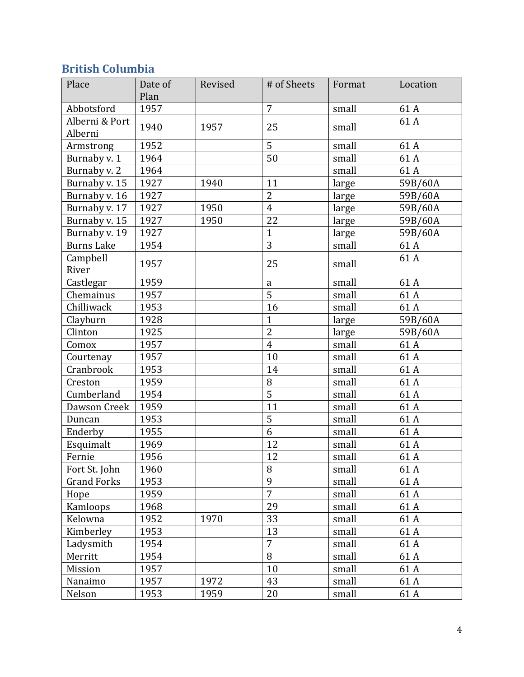## <span id="page-3-0"></span>**British Columbia**

| Place                     | Date of<br>Plan | Revised | # of Sheets    | Format | Location |
|---------------------------|-----------------|---------|----------------|--------|----------|
| Abbotsford                | 1957            |         | $\overline{7}$ | small  | 61A      |
| Alberni & Port<br>Alberni | 1940            | 1957    | 25             | small  | 61A      |
| Armstrong                 | 1952            |         | $\overline{5}$ | small  | 61A      |
| Burnaby v. 1              | 1964            |         | 50             | small  | 61A      |
| Burnaby v. 2              | 1964            |         |                | small  | 61A      |
| Burnaby v. 15             | 1927            | 1940    | 11             | large  | 59B/60A  |
| Burnaby v. 16             | 1927            |         | $\overline{2}$ | large  | 59B/60A  |
| Burnaby v. 17             | 1927            | 1950    | $\overline{4}$ | large  | 59B/60A  |
| Burnaby v. 15             | 1927            | 1950    | 22             | large  | 59B/60A  |
| Burnaby v. 19             | 1927            |         | $\mathbf{1}$   | large  | 59B/60A  |
| <b>Burns Lake</b>         | 1954            |         | 3              | small  | 61A      |
| Campbell<br>River         | 1957            |         | 25             | small  | 61A      |
| Castlegar                 | 1959            |         | a              | small  | 61A      |
| Chemainus                 | 1957            |         | $\overline{5}$ | small  | 61A      |
| Chilliwack                | 1953            |         | 16             | small  | 61A      |
| Clayburn                  | 1928            |         | $\mathbf{1}$   | large  | 59B/60A  |
| Clinton                   | 1925            |         | $\overline{2}$ | large  | 59B/60A  |
| Comox                     | 1957            |         | $\overline{4}$ | small  | 61A      |
| Courtenay                 | 1957            |         | 10             | small  | 61A      |
| Cranbrook                 | 1953            |         | 14             | small  | 61A      |
| Creston                   | 1959            |         | 8              | small  | 61A      |
| Cumberland                | 1954            |         | $\overline{5}$ | small  | 61A      |
| Dawson Creek              | 1959            |         | 11             | small  | 61A      |
| Duncan                    | 1953            |         | 5              | small  | 61A      |
| Enderby                   | 1955            |         | 6              | small  | 61A      |
| Esquimalt                 | 1969            |         | 12             | small  | 61A      |
| Fernie                    | 1956            |         | 12             | small  | 61A      |
| Fort St. John             | 1960            |         | 8              | small  | 61A      |
| <b>Grand Forks</b>        | 1953            |         | 9              | small  | 61A      |
| Hope                      | 1959            |         | $\overline{7}$ | small  | 61A      |
| Kamloops                  | 1968            |         | 29             | small  | 61A      |
| Kelowna                   | 1952            | 1970    | 33             | small  | 61A      |
| Kimberley                 | 1953            |         | 13             | small  | 61A      |
| Ladysmith                 | 1954            |         | $\overline{7}$ | small  | 61A      |
| Merritt                   | 1954            |         | 8              | small  | 61 A     |
| Mission                   | 1957            |         | 10             | small  | 61A      |
| Nanaimo                   | 1957            | 1972    | 43             | small  | 61A      |
| Nelson                    | 1953            | 1959    | 20             | small  | 61 A     |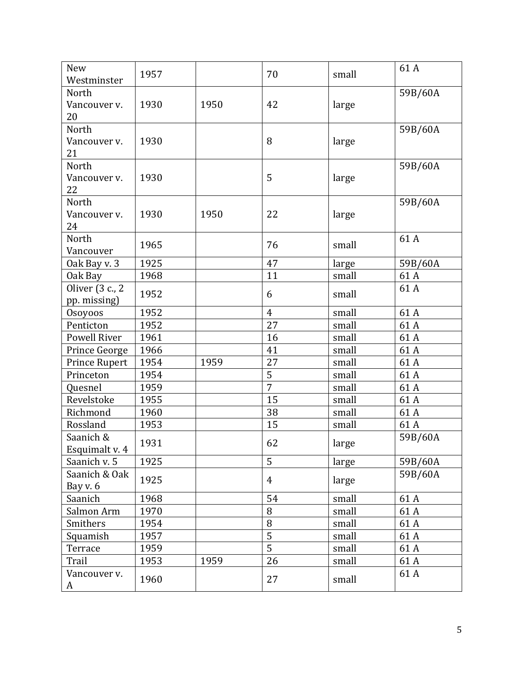| New<br>Westminster | 1957 |      | 70             | small | 61A     |
|--------------------|------|------|----------------|-------|---------|
| North              |      |      |                |       | 59B/60A |
| Vancouver v.       | 1930 | 1950 | 42             | large |         |
| 20                 |      |      |                |       |         |
| North              |      |      |                |       | 59B/60A |
| Vancouver v.       | 1930 |      | 8              | large |         |
| 21                 |      |      |                |       |         |
| North              |      |      |                |       | 59B/60A |
| Vancouver v.       | 1930 |      | 5              | large |         |
| 22                 |      |      |                |       |         |
| North              |      |      |                |       | 59B/60A |
| Vancouver v.       | 1930 | 1950 | 22             | large |         |
| 24                 |      |      |                |       |         |
| North              | 1965 |      | 76             | small | 61A     |
| Vancouver          |      |      |                |       |         |
| Oak Bay v. 3       | 1925 |      | 47             | large | 59B/60A |
| Oak Bay            | 1968 |      | 11             | small | 61A     |
| Oliver (3 c., 2    | 1952 |      | 6              | small | 61A     |
| pp. missing)       |      |      |                |       |         |
| Osoyoos            | 1952 |      | $\overline{4}$ | small | 61A     |
| Penticton          | 1952 |      | 27             | small | 61A     |
| Powell River       | 1961 |      | 16             | small | 61A     |
| Prince George      | 1966 |      | 41             | small | 61A     |
| Prince Rupert      | 1954 | 1959 | 27             | small | 61A     |
| Princeton          | 1954 |      | 5              | small | 61A     |
| Quesnel            | 1959 |      | $\overline{7}$ | small | 61A     |
| Revelstoke         | 1955 |      | 15             | small | 61A     |
| Richmond           | 1960 |      | 38             | small | 61A     |
| Rossland           | 1953 |      | 15             | small | 61A     |
| Saanich &          | 1931 |      | 62             | large | 59B/60A |
| Esquimalt v. 4     |      |      |                |       |         |
| Saanich v. 5       | 1925 |      | 5              | large | 59B/60A |
| Saanich & Oak      | 1925 |      | $\overline{4}$ | large | 59B/60A |
| Bay v. 6           |      |      |                |       |         |
| Saanich            | 1968 |      | 54             | small | 61A     |
| Salmon Arm         | 1970 |      | 8              | small | 61A     |
| Smithers           | 1954 |      | 8              | small | 61A     |
| Squamish           | 1957 |      | 5              | small | 61A     |
| Terrace            | 1959 |      | 5              | small | 61A     |
| Trail              | 1953 | 1959 | 26             | small | 61A     |
| Vancouver v.<br>A  | 1960 |      | 27             | small | 61A     |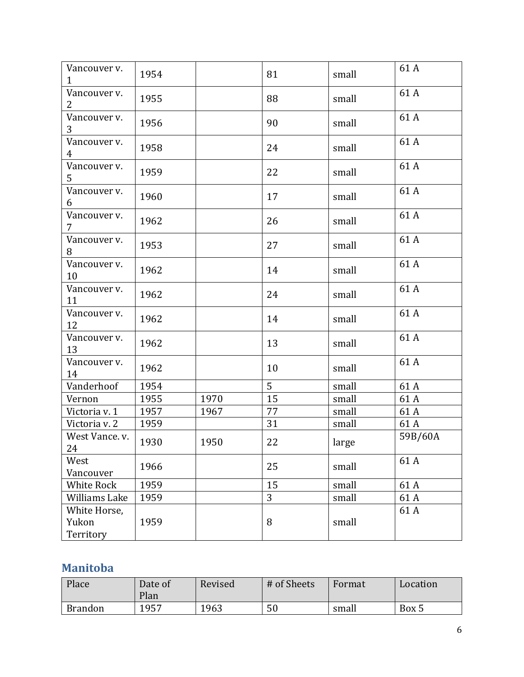| Vancouver v.<br>$\mathbf{1}$   | 1954 |      | 81 | small | 61A     |
|--------------------------------|------|------|----|-------|---------|
| Vancouver v.<br>2              | 1955 |      | 88 | small | 61A     |
| Vancouver v.<br>3              | 1956 |      | 90 | small | 61A     |
| Vancouver v.<br>4              | 1958 |      | 24 | small | 61A     |
| Vancouver v.<br>5              | 1959 |      | 22 | small | 61A     |
| Vancouver v.<br>6              | 1960 |      | 17 | small | 61A     |
| Vancouver v.<br>$\overline{7}$ | 1962 |      | 26 | small | 61A     |
| Vancouver v.<br>8              | 1953 |      | 27 | small | 61A     |
| Vancouver v.<br>10             | 1962 |      | 14 | small | 61A     |
| Vancouver v.<br>11             | 1962 |      | 24 | small | 61A     |
| Vancouver v.<br>12             | 1962 |      | 14 | small | 61A     |
| Vancouver v.<br>13             | 1962 |      | 13 | small | 61A     |
| Vancouver v.<br>14             | 1962 |      | 10 | small | 61A     |
| Vanderhoof                     | 1954 |      | 5  | small | 61A     |
| Vernon                         | 1955 | 1970 | 15 | small | 61A     |
| Victoria v. 1                  | 1957 | 1967 | 77 | small | 61A     |
| Victoria v. 2                  | 1959 |      | 31 | small | 61A     |
| West Vance. v.<br>24           | 1930 | 1950 | 22 | large | 59B/60A |
| West<br>Vancouver              | 1966 |      | 25 | small | 61A     |
| White Rock                     | 1959 |      | 15 | small | 61A     |
| Williams Lake                  | 1959 |      | 3  | small | 61 A    |
| White Horse,                   |      |      |    |       | 61A     |
| Yukon<br>Territory             | 1959 |      | 8  | small |         |

#### <span id="page-5-0"></span>**Manitoba**

| Place          | Date of<br>Plan | Revised | # of Sheets | Format | Location |
|----------------|-----------------|---------|-------------|--------|----------|
| <b>Brandon</b> | 1957            | 1963    | 50          | small  | Box 5    |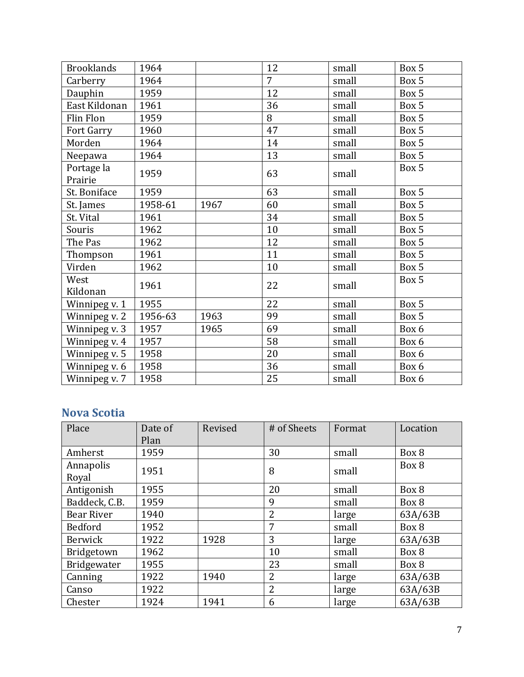| <b>Brooklands</b>     | 1964    |      | 12             | small | Box 5 |
|-----------------------|---------|------|----------------|-------|-------|
| Carberry              | 1964    |      | $\overline{7}$ | small | Box 5 |
| Dauphin               | 1959    |      | 12             | small | Box 5 |
| East Kildonan         | 1961    |      | 36             | small | Box 5 |
| Flin Flon             | 1959    |      | 8              | small | Box 5 |
| Fort Garry            | 1960    |      | 47             | small | Box 5 |
| Morden                | 1964    |      | 14             | small | Box 5 |
| Neepawa               | 1964    |      | 13             | small | Box 5 |
| Portage la<br>Prairie | 1959    |      | 63             | small | Box 5 |
| St. Boniface          | 1959    |      | 63             | small | Box 5 |
| St. James             | 1958-61 | 1967 | 60             | small | Box 5 |
| St. Vital             | 1961    |      | 34             | small | Box 5 |
| Souris                | 1962    |      | 10             | small | Box 5 |
| The Pas               | 1962    |      | 12             | small | Box 5 |
| Thompson              | 1961    |      | 11             | small | Box 5 |
| Virden                | 1962    |      | 10             | small | Box 5 |
| West<br>Kildonan      | 1961    |      | 22             | small | Box 5 |
| Winnipeg v. 1         | 1955    |      | 22             | small | Box 5 |
|                       | 1956-63 | 1963 | 99             | small | Box 5 |
| Winnipeg v. 2         | 1957    | 1965 | 69             | small | Box 6 |
| Winnipeg v. 3         |         |      |                |       |       |
| Winnipeg v. 4         | 1957    |      | 58             | small | Box 6 |
| Winnipeg v. 5         | 1958    |      | 20             | small | Box 6 |
| Winnipeg v. 6         | 1958    |      | 36             | small | Box 6 |
| Winnipeg v. 7         | 1958    |      | 25             | small | Box 6 |

### <span id="page-6-0"></span>**Nova Scotia**

| Place              | Date of<br>Plan | Revised | # of Sheets    | Format | Location |
|--------------------|-----------------|---------|----------------|--------|----------|
| Amherst            | 1959            |         | 30             | small  | Box 8    |
| Annapolis<br>Royal | 1951            |         | 8              | small  | Box 8    |
| Antigonish         | 1955            |         | 20             | small  | Box 8    |
| Baddeck, C.B.      | 1959            |         | 9              | small  | Box 8    |
| <b>Bear River</b>  | 1940            |         | $\overline{2}$ | large  | 63A/63B  |
| Bedford            | 1952            |         | 7              | small  | Box 8    |
| Berwick            | 1922            | 1928    | 3              | large  | 63A/63B  |
| Bridgetown         | 1962            |         | 10             | small  | Box 8    |
| <b>Bridgewater</b> | 1955            |         | 23             | small  | Box 8    |
| Canning            | 1922            | 1940    | 2              | large  | 63A/63B  |
| Canso              | 1922            |         | 2              | large  | 63A/63B  |
| Chester            | 1924            | 1941    | 6              | large  | 63A/63B  |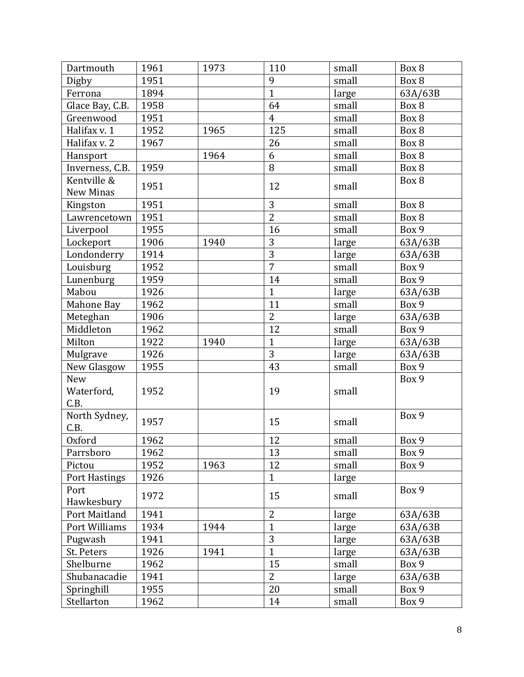| Dartmouth             | 1961 | 1973 | 110                  | small | Box 8              |
|-----------------------|------|------|----------------------|-------|--------------------|
| Digby                 | 1951 |      | 9                    | small | Box 8              |
| Ferrona               | 1894 |      | $\mathbf{1}$         | large | 63A/63B            |
| Glace Bay, C.B.       | 1958 |      | 64                   | small | Box 8              |
| Greenwood             | 1951 |      | $\overline{4}$       | small | Box 8              |
| Halifax v. 1          | 1952 | 1965 | 125                  | small | Box 8              |
| Halifax v. 2          | 1967 |      | 26                   | small | Box 8              |
| Hansport              |      | 1964 | 6                    | small | Box 8              |
| Inverness, C.B.       | 1959 |      | 8                    | small | Box 8              |
| Kentville &           | 1951 |      | 12                   | small | Box 8              |
| New Minas             |      |      |                      |       |                    |
| Kingston              | 1951 |      | 3                    | small | Box 8              |
| Lawrencetown          | 1951 |      | $\overline{2}$       | small | Box 8              |
| Liverpool             | 1955 |      | 16                   | small | Box 9              |
| Lockeport             | 1906 | 1940 | 3                    | large | 63A/63B            |
| Londonderry           | 1914 |      | $\overline{3}$       | large | 63A/63B            |
| Louisburg             | 1952 |      | $\overline{7}$       | small | Box 9              |
| Lunenburg             | 1959 |      | 14                   | small | Box 9              |
| Mabou                 | 1926 |      | $\mathbf{1}$         | large | 63A/63B            |
| Mahone Bay            | 1962 |      | 11                   | small | Box 9              |
| Meteghan              | 1906 |      | $\overline{2}$       | large | 63A/63B            |
| Middleton             | 1962 |      | 12                   | small | Box 9              |
| Milton                | 1922 | 1940 | $\mathbf{1}$         | large | 63A/63B            |
| Mulgrave              | 1926 |      | $\overline{3}$       | large | 63A/63B            |
| New Glasgow           | 1955 |      | 43                   | small | Box 9              |
| <b>New</b>            |      |      |                      |       | Box 9              |
| Waterford,            | 1952 |      | 19                   | small |                    |
| C.B.                  |      |      |                      |       |                    |
| North Sydney,         | 1957 |      | 15                   | small | Box 9              |
| C.B.                  |      |      | 12                   |       |                    |
| <b>Oxford</b>         | 1962 |      |                      | small | Box 9              |
| Parrsboro             | 1962 |      | 13<br>12             | small | Box 9              |
| Pictou                | 1952 | 1963 |                      | small | Box 9              |
| <b>Port Hastings</b>  | 1926 |      | $\mathbf{1}$         | large |                    |
| Port<br>Hawkesbury    | 1972 |      | 15                   | small | Box 9              |
| Port Maitland         | 1941 |      | $\overline{2}$       |       |                    |
| Port Williams         | 1934 | 1944 | $\mathbf{1}$         | large | 63A/63B            |
|                       | 1941 |      | 3                    | large | 63A/63B            |
| Pugwash<br>St. Peters | 1926 | 1941 | $\mathbf{1}$         | large | 63A/63B<br>63A/63B |
|                       |      |      |                      | large |                    |
| Shelburne             | 1962 |      | 15<br>$\overline{2}$ | small | Box 9              |
| Shubanacadie          | 1941 |      |                      | large | 63A/63B            |
| Springhill            | 1955 |      | 20                   | small | Box 9              |
| Stellarton            | 1962 |      | 14                   | small | Box 9              |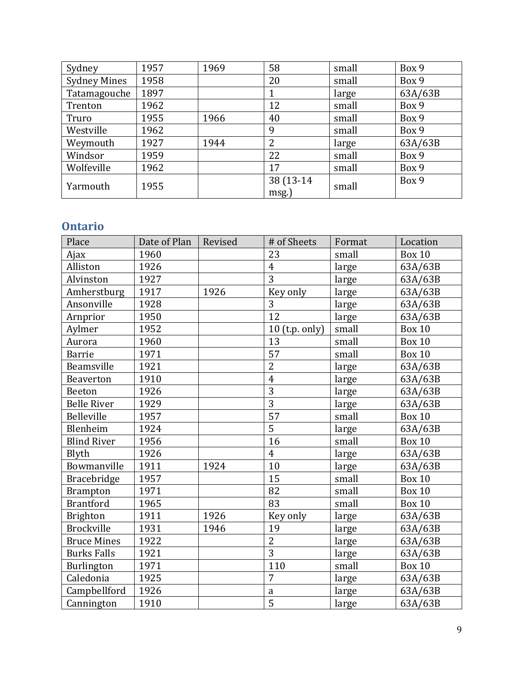| Sydney              | 1957 | 1969 | 58         | small | Box 9   |
|---------------------|------|------|------------|-------|---------|
| <b>Sydney Mines</b> | 1958 |      | 20         | small | Box 9   |
| Tatamagouche        | 1897 |      |            | large | 63A/63B |
| Trenton             | 1962 |      | 12         | small | Box 9   |
| Truro               | 1955 | 1966 | 40         | small | Box 9   |
| Westville           | 1962 |      | 9          | small | Box 9   |
| Weymouth            | 1927 | 1944 | 2          | large | 63A/63B |
| Windsor             | 1959 |      | 22         | small | Box 9   |
| Wolfeville          | 1962 |      | 17         | small | Box 9   |
| Yarmouth            | 1955 |      | 38 (13-14) | small | Box 9   |
|                     |      |      | msg.       |       |         |

#### <span id="page-8-0"></span>**Ontario**

| Place              | Date of Plan | Revised | # of Sheets      | Format | Location      |
|--------------------|--------------|---------|------------------|--------|---------------|
| Ajax               | 1960         |         | 23               | small  | <b>Box 10</b> |
| Alliston           | 1926         |         | $\overline{4}$   | large  | 63A/63B       |
| Alvinston          | 1927         |         | $\overline{3}$   | large  | 63A/63B       |
| Amherstburg        | 1917         | 1926    | Key only         | large  | 63A/63B       |
| Ansonville         | 1928         |         | 3                | large  | 63A/63B       |
| Arnprior           | 1950         |         | 12               | large  | 63A/63B       |
| Aylmer             | 1952         |         | $10$ (t.p. only) | small  | <b>Box 10</b> |
| Aurora             | 1960         |         | 13               | small  | <b>Box 10</b> |
| <b>Barrie</b>      | 1971         |         | 57               | small  | <b>Box 10</b> |
| Beamsville         | 1921         |         | $\overline{2}$   | large  | 63A/63B       |
| <b>Beaverton</b>   | 1910         |         | $\overline{4}$   | large  | 63A/63B       |
| Beeton             | 1926         |         | 3                | large  | 63A/63B       |
| <b>Belle River</b> | 1929         |         | $\overline{3}$   | large  | 63A/63B       |
| Belleville         | 1957         |         | 57               | small  | <b>Box 10</b> |
| Blenheim           | 1924         |         | 5                | large  | 63A/63B       |
| <b>Blind River</b> | 1956         |         | 16               | small  | <b>Box 10</b> |
| Blyth              | 1926         |         | $\overline{4}$   | large  | 63A/63B       |
| Bowmanville        | 1911         | 1924    | 10               | large  | 63A/63B       |
| Bracebridge        | 1957         |         | 15               | small  | <b>Box 10</b> |
| <b>Brampton</b>    | 1971         |         | 82               | small  | <b>Box 10</b> |
| <b>Brantford</b>   | 1965         |         | 83               | small  | <b>Box 10</b> |
| <b>Brighton</b>    | 1911         | 1926    | Key only         | large  | 63A/63B       |
| <b>Brockville</b>  | 1931         | 1946    | 19               | large  | 63A/63B       |
| <b>Bruce Mines</b> | 1922         |         | $\overline{2}$   | large  | 63A/63B       |
| <b>Burks Falls</b> | 1921         |         | $\overline{3}$   | large  | 63A/63B       |
| <b>Burlington</b>  | 1971         |         | 110              | small  | <b>Box 10</b> |
| Caledonia          | 1925         |         | 7                | large  | 63A/63B       |
| Campbellford       | 1926         |         | $\mathsf{a}$     | large  | 63A/63B       |
| Cannington         | 1910         |         | $\overline{5}$   | large  | 63A/63B       |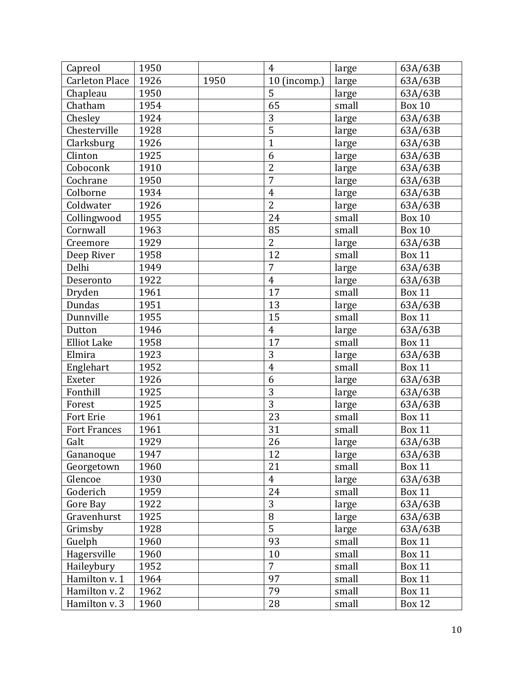| Capreol               | 1950 |      | $\overline{4}$ | large | 63A/63B       |
|-----------------------|------|------|----------------|-------|---------------|
| <b>Carleton Place</b> | 1926 | 1950 | 10 (incomp.)   | large | 63A/63B       |
| Chapleau              | 1950 |      | 5              | large | 63A/63B       |
| Chatham               | 1954 |      | 65             | small | <b>Box 10</b> |
| Chesley               | 1924 |      | 3              | large | 63A/63B       |
| Chesterville          | 1928 |      | $\overline{5}$ | large | 63A/63B       |
| Clarksburg            | 1926 |      | $\mathbf{1}$   | large | 63A/63B       |
| Clinton               | 1925 |      | 6              | large | 63A/63B       |
| Coboconk              | 1910 |      | $\overline{2}$ | large | 63A/63B       |
| Cochrane              | 1950 |      | $\overline{7}$ | large | 63A/63B       |
| Colborne              | 1934 |      | $\overline{4}$ | large | 63A/63B       |
| Coldwater             | 1926 |      | $\overline{2}$ | large | 63A/63B       |
| Collingwood           | 1955 |      | 24             | small | <b>Box 10</b> |
| Cornwall              | 1963 |      | 85             | small | <b>Box 10</b> |
| Creemore              | 1929 |      | $\overline{2}$ | large | 63A/63B       |
| Deep River            | 1958 |      | 12             | small | <b>Box 11</b> |
| Delhi                 | 1949 |      | $\overline{7}$ | large | 63A/63B       |
| Deseronto             | 1922 |      | $\overline{4}$ | large | 63A/63B       |
| Dryden                | 1961 |      | 17             | small | <b>Box 11</b> |
| <b>Dundas</b>         | 1951 |      | 13             | large | 63A/63B       |
| Dunnville             | 1955 |      | 15             | small | <b>Box 11</b> |
| Dutton                | 1946 |      | $\overline{4}$ | large | 63A/63B       |
| <b>Elliot Lake</b>    | 1958 |      | 17             | small | <b>Box 11</b> |
| Elmira                | 1923 |      | 3              | large | 63A/63B       |
| Englehart             | 1952 |      | $\overline{4}$ | small | <b>Box 11</b> |
| Exeter                | 1926 |      | 6              | large | 63A/63B       |
| Fonthill              | 1925 |      | 3              | large | 63A/63B       |
| Forest                | 1925 |      | $\overline{3}$ | large | 63A/63B       |
| <b>Fort Erie</b>      | 1961 |      | 23             | small | <b>Box 11</b> |
| <b>Fort Frances</b>   | 1961 |      | 31             | small | <b>Box 11</b> |
| Galt                  | 1929 |      | 26             | large | 63A/63B       |
| Gananoque             | 1947 |      | 12             | large | 63A/63B       |
| Georgetown            | 1960 |      | 21             | small | <b>Box 11</b> |
| Glencoe               | 1930 |      | $\overline{4}$ | large | 63A/63B       |
| Goderich              | 1959 |      | 24             | small | <b>Box 11</b> |
| Gore Bay              | 1922 |      | 3              | large | 63A/63B       |
| Gravenhurst           | 1925 |      | 8              | large | 63A/63B       |
| Grimsby               | 1928 |      | $\overline{5}$ | large | 63A/63B       |
| Guelph                | 1960 |      | 93             | small | <b>Box 11</b> |
| Hagersville           | 1960 |      | 10             | small | <b>Box 11</b> |
| Haileybury            | 1952 |      | $\overline{7}$ | small | <b>Box 11</b> |
| Hamilton v. 1         | 1964 |      | 97             | small | <b>Box 11</b> |
| Hamilton v. 2         | 1962 |      | 79             | small | <b>Box 11</b> |
| Hamilton v. 3         | 1960 |      | $28\,$         | small | Box 12        |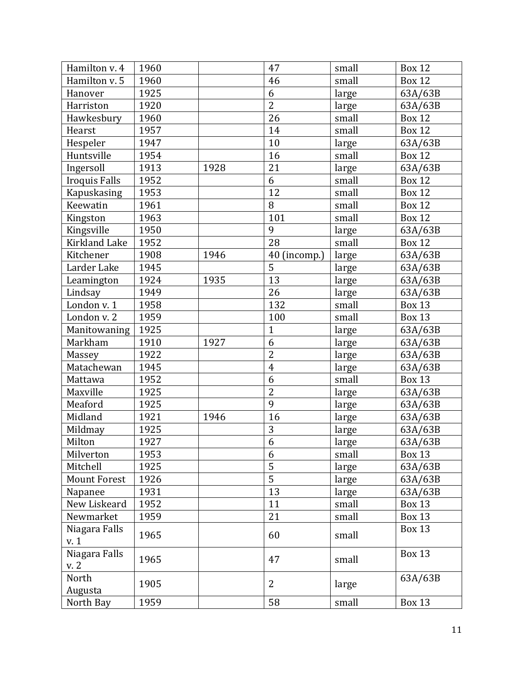| Hamilton v. 4        | 1960 |      | 47             | small | <b>Box 12</b> |
|----------------------|------|------|----------------|-------|---------------|
| Hamilton v. 5        | 1960 |      | 46             | small | <b>Box 12</b> |
| Hanover              | 1925 |      | 6              | large | 63A/63B       |
| Harriston            | 1920 |      | $\overline{2}$ | large | 63A/63B       |
| Hawkesbury           | 1960 |      | 26             | small | <b>Box 12</b> |
| Hearst               | 1957 |      | 14             | small | <b>Box 12</b> |
| Hespeler             | 1947 |      | 10             | large | 63A/63B       |
| Huntsville           | 1954 |      | 16             | small | <b>Box 12</b> |
| Ingersoll            | 1913 | 1928 | 21             | large | 63A/63B       |
| <b>Iroquis Falls</b> | 1952 |      | 6              | small | <b>Box 12</b> |
| Kapuskasing          | 1953 |      | 12             | small | <b>Box 12</b> |
| Keewatin             | 1961 |      | 8              | small | <b>Box 12</b> |
| Kingston             | 1963 |      | 101            | small | <b>Box 12</b> |
| Kingsville           | 1950 |      | 9              | large | 63A/63B       |
| <b>Kirkland Lake</b> | 1952 |      | 28             | small | <b>Box 12</b> |
| Kitchener            | 1908 | 1946 | 40 (incomp.)   | large | 63A/63B       |
| Larder Lake          | 1945 |      | 5              | large | 63A/63B       |
| Leamington           | 1924 | 1935 | 13             | large | 63A/63B       |
| Lindsay              | 1949 |      | 26             | large | 63A/63B       |
| London v. 1          | 1958 |      | 132            | small | <b>Box 13</b> |
| London v. 2          | 1959 |      | 100            | small | <b>Box 13</b> |
| Manitowaning         | 1925 |      | $\mathbf{1}$   | large | 63A/63B       |
| Markham              | 1910 | 1927 | 6              | large | 63A/63B       |
| Massey               | 1922 |      | $\overline{2}$ | large | 63A/63B       |
| Matachewan           | 1945 |      | $\overline{4}$ | large | 63A/63B       |
| Mattawa              | 1952 |      | 6              | small | <b>Box 13</b> |
| Maxville             | 1925 |      | $\overline{2}$ | large | 63A/63B       |
| Meaford              | 1925 |      | 9              | large | 63A/63B       |
| Midland              | 1921 | 1946 | 16             | large | 63A/63B       |
| Mildmay              | 1925 |      | $\overline{3}$ | large | 63A/63B       |
| Milton               | 1927 |      | $\overline{6}$ | large | 63A/63B       |
| Milverton            | 1953 |      | 6              | small | <b>Box 13</b> |
| Mitchell             | 1925 |      | $\overline{5}$ | large | 63A/63B       |
| <b>Mount Forest</b>  | 1926 |      | $\overline{5}$ | large | 63A/63B       |
| Napanee              | 1931 |      | 13             | large | 63A/63B       |
| New Liskeard         | 1952 |      | 11             | small | <b>Box 13</b> |
| Newmarket            | 1959 |      | 21             | small | <b>Box 13</b> |
| Niagara Falls        | 1965 |      | 60             |       | <b>Box 13</b> |
| v. 1                 |      |      |                | small |               |
| Niagara Falls        | 1965 |      | 47             | small | <b>Box 13</b> |
| v. 2                 |      |      |                |       |               |
| North                | 1905 |      | $\overline{2}$ | large | 63A/63B       |
| Augusta              |      |      |                |       |               |
| North Bay            | 1959 |      | 58             | small | <b>Box 13</b> |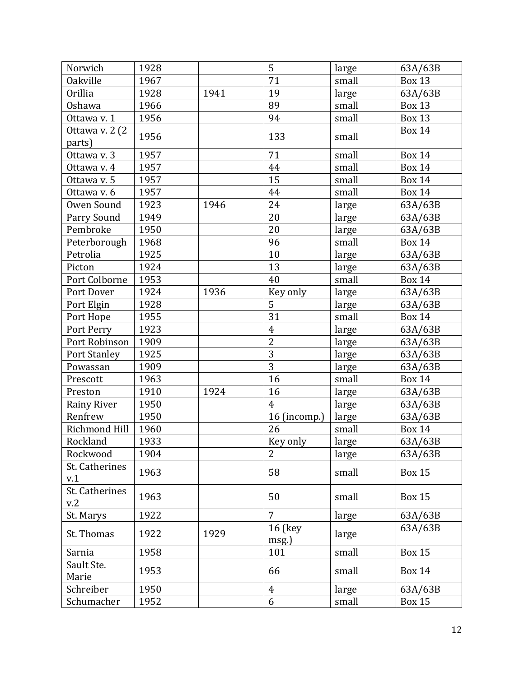| Norwich                   | 1928 |      | 5                       | large | 63A/63B       |
|---------------------------|------|------|-------------------------|-------|---------------|
| <b>Oakville</b>           | 1967 |      | 71                      | small | <b>Box 13</b> |
| <b>Orillia</b>            | 1928 | 1941 | 19                      | large | 63A/63B       |
| Oshawa                    | 1966 |      | 89                      | small | <b>Box 13</b> |
| Ottawa v. 1               | 1956 |      | 94                      | small | <b>Box 13</b> |
| Ottawa v. 2 (2)<br>parts) | 1956 |      | 133                     | small | <b>Box 14</b> |
| Ottawa v. 3               | 1957 |      | 71                      | small | <b>Box 14</b> |
| Ottawa v. 4               | 1957 |      | 44                      | small | <b>Box 14</b> |
| Ottawa v. 5               | 1957 |      | 15                      | small | <b>Box 14</b> |
| Ottawa v. 6               | 1957 |      | 44                      | small | <b>Box 14</b> |
| Owen Sound                | 1923 | 1946 | 24                      | large | 63A/63B       |
| Parry Sound               | 1949 |      | 20                      | large | 63A/63B       |
| Pembroke                  | 1950 |      | 20                      | large | 63A/63B       |
| Peterborough              | 1968 |      | 96                      | small | <b>Box 14</b> |
| Petrolia                  | 1925 |      | 10                      | large | 63A/63B       |
| Picton                    | 1924 |      | 13                      | large | 63A/63B       |
| Port Colborne             | 1953 |      | 40                      | small | <b>Box 14</b> |
| Port Dover                | 1924 | 1936 | Key only                | large | 63A/63B       |
| Port Elgin                | 1928 |      | 5                       | large | 63A/63B       |
| Port Hope                 | 1955 |      | $\overline{31}$         | small | <b>Box 14</b> |
| Port Perry                | 1923 |      | $\overline{4}$          | large | 63A/63B       |
| Port Robinson             | 1909 |      | $\overline{2}$          | large | 63A/63B       |
| Port Stanley              | 1925 |      | $\overline{3}$          | large | 63A/63B       |
| Powassan                  | 1909 |      | $\overline{3}$          | large | 63A/63B       |
| Prescott                  | 1963 |      | 16                      | small | <b>Box 14</b> |
| Preston                   | 1910 | 1924 | 16                      | large | 63A/63B       |
| <b>Rainy River</b>        | 1950 |      | $\overline{4}$          | large | 63A/63B       |
| Renfrew                   | 1950 |      | 16 (incomp.)            | large | 63A/63B       |
| Richmond Hill             | 1960 |      | 26                      | small | <b>Box 14</b> |
| Rockland                  | 1933 |      | Key only                | large | 63A/63B       |
| Rockwood                  | 1904 |      | $\overline{2}$          | large | 63A/63B       |
| St. Catherines<br>v.1     | 1963 |      | 58                      | small | <b>Box 15</b> |
| St. Catherines<br>v.2     | 1963 |      | 50                      | small | <b>Box 15</b> |
| St. Marys                 | 1922 |      | $\overline{7}$          | large | 63A/63B       |
| St. Thomas                | 1922 | 1929 | <b>16 (key</b><br>msg.) | large | 63A/63B       |
| Sarnia                    | 1958 |      | 101                     | small | <b>Box 15</b> |
| Sault Ste.<br>Marie       | 1953 |      | 66                      | small | <b>Box 14</b> |
| Schreiber                 | 1950 |      | $\overline{4}$          | large | 63A/63B       |
| Schumacher                | 1952 |      | 6                       | small | <b>Box 15</b> |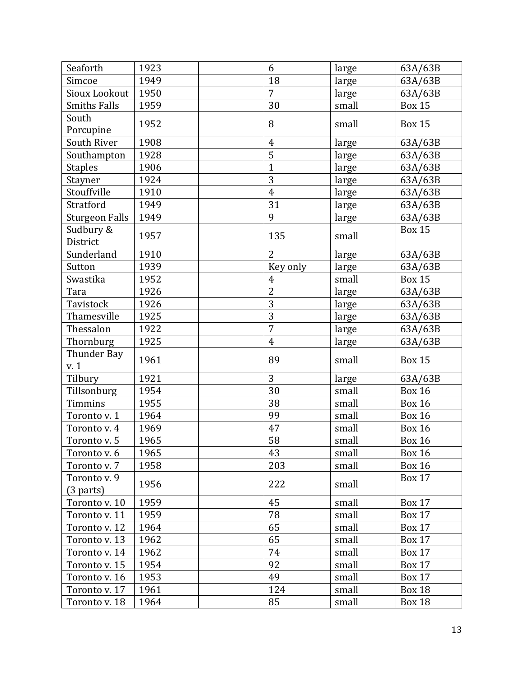| Seaforth                  | 1923 | 6              | large | 63A/63B       |
|---------------------------|------|----------------|-------|---------------|
| Simcoe                    | 1949 | 18             | large | 63A/63B       |
| Sioux Lookout             | 1950 | $\overline{7}$ | large | 63A/63B       |
| <b>Smiths Falls</b>       | 1959 | 30             | small | <b>Box 15</b> |
| South<br>Porcupine        | 1952 | 8              | small | <b>Box 15</b> |
| South River               | 1908 | $\overline{4}$ | large | 63A/63B       |
| Southampton               | 1928 | 5              | large | 63A/63B       |
| <b>Staples</b>            | 1906 | $\overline{1}$ | large | 63A/63B       |
| Stayner                   | 1924 | 3              | large | 63A/63B       |
| Stouffville               | 1910 | $\overline{4}$ | large | 63A/63B       |
| Stratford                 | 1949 | 31             | large | 63A/63B       |
| <b>Sturgeon Falls</b>     | 1949 | 9              | large | 63A/63B       |
| Sudbury &<br>District     | 1957 | 135            | small | <b>Box 15</b> |
| Sunderland                | 1910 | $\overline{2}$ | large | 63A/63B       |
| Sutton                    | 1939 | Key only       | large | 63A/63B       |
| Swastika                  | 1952 | $\overline{4}$ | small | <b>Box 15</b> |
| Tara                      | 1926 | $\overline{2}$ | large | 63A/63B       |
| Tavistock                 | 1926 | 3              | large | 63A/63B       |
| Thamesville               | 1925 | $\overline{3}$ | large | 63A/63B       |
| Thessalon                 | 1922 | $\overline{7}$ | large | 63A/63B       |
| Thornburg                 | 1925 | $\overline{4}$ | large | 63A/63B       |
| Thunder Bay<br>v. 1       | 1961 | 89             | small | <b>Box 15</b> |
| Tilbury                   | 1921 | 3              | large | 63A/63B       |
| Tillsonburg               | 1954 | 30             | small | <b>Box 16</b> |
| Timmins                   | 1955 | 38             | small | <b>Box 16</b> |
| Toronto v. 1              | 1964 | 99             | small | <b>Box 16</b> |
| Toronto v. 4              | 1969 | 47             | small | <b>Box 16</b> |
| Toronto v. 5              | 1965 | 58             | small | <b>Box 16</b> |
| Toronto v. 6              | 1965 | 43             | small | <b>Box 16</b> |
| Toronto v. 7              | 1958 | 203            | small | <b>Box 16</b> |
| Toronto v. 9<br>(3 parts) | 1956 | 222            | small | <b>Box 17</b> |
| Toronto v. 10             | 1959 | 45             | small | <b>Box 17</b> |
| Toronto v. 11             | 1959 | 78             | small | <b>Box 17</b> |
| Toronto v. 12             | 1964 | 65             | small | <b>Box 17</b> |
| Toronto v. 13             | 1962 | 65             | small | <b>Box 17</b> |
| Toronto v. 14             | 1962 | 74             | small | <b>Box 17</b> |
| Toronto v. 15             | 1954 | 92             | small | <b>Box 17</b> |
| Toronto v. 16             | 1953 | 49             | small | <b>Box 17</b> |
| Toronto v. 17             | 1961 | 124            | small | <b>Box 18</b> |
| Toronto v. 18             | 1964 | 85             | small | <b>Box 18</b> |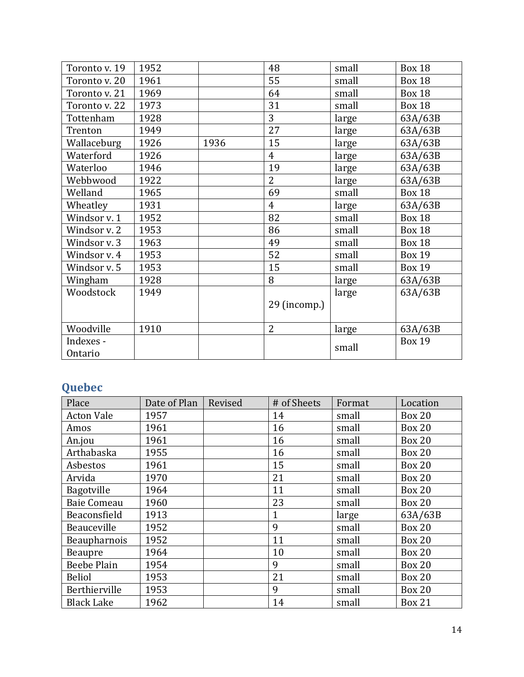| Toronto v. 19        | 1952 |      | 48             | small | <b>Box 18</b> |
|----------------------|------|------|----------------|-------|---------------|
| Toronto v. 20        | 1961 |      | 55             | small | <b>Box 18</b> |
| Toronto v. 21        | 1969 |      | 64             | small | <b>Box 18</b> |
| Toronto v. 22        | 1973 |      | 31             | small | <b>Box 18</b> |
| Tottenham            | 1928 |      | 3              | large | 63A/63B       |
| Trenton              | 1949 |      | 27             | large | 63A/63B       |
| Wallaceburg          | 1926 | 1936 | 15             | large | 63A/63B       |
| Waterford            | 1926 |      | $\overline{4}$ | large | 63A/63B       |
| Waterloo             | 1946 |      | 19             | large | 63A/63B       |
| Webbwood             | 1922 |      | $\overline{2}$ | large | 63A/63B       |
| Welland              | 1965 |      | 69             | small | <b>Box 18</b> |
| Wheatley             | 1931 |      | $\overline{4}$ | large | 63A/63B       |
| Windsor v. 1         | 1952 |      | 82             | small | <b>Box 18</b> |
| Windsor v. 2         | 1953 |      | 86             | small | <b>Box 18</b> |
| Windsor v. 3         | 1963 |      | 49             | small | <b>Box 18</b> |
| Windsor v. 4         | 1953 |      | 52             | small | <b>Box 19</b> |
| Windsor v. 5         | 1953 |      | 15             | small | <b>Box 19</b> |
| Wingham              | 1928 |      | 8              | large | 63A/63B       |
| Woodstock            | 1949 |      |                | large | 63A/63B       |
|                      |      |      | 29 (incomp.)   |       |               |
| Woodville            | 1910 |      | $\overline{2}$ | large | 63A/63B       |
| Indexes -<br>Ontario |      |      |                | small | <b>Box 19</b> |

## <span id="page-13-0"></span>**Quebec**

| Place              | Date of Plan | Revised | # of Sheets  | Format | Location      |
|--------------------|--------------|---------|--------------|--------|---------------|
| <b>Acton Vale</b>  | 1957         |         | 14           | small  | <b>Box 20</b> |
| Amos               | 1961         |         | 16           | small  | <b>Box 20</b> |
| An.jou             | 1961         |         | 16           | small  | <b>Box 20</b> |
| Arthabaska         | 1955         |         | 16           | small  | <b>Box 20</b> |
| Asbestos           | 1961         |         | 15           | small  | <b>Box 20</b> |
| Arvida             | 1970         |         | 21           | small  | <b>Box 20</b> |
| Bagotville         | 1964         |         | 11           | small  | <b>Box 20</b> |
| <b>Baie Comeau</b> | 1960         |         | 23           | small  | <b>Box 20</b> |
| Beaconsfield       | 1913         |         | $\mathbf{1}$ | large  | 63A/63B       |
| Beauceville        | 1952         |         | 9            | small  | <b>Box 20</b> |
| Beaupharnois       | 1952         |         | 11           | small  | <b>Box 20</b> |
| Beaupre            | 1964         |         | 10           | small  | <b>Box 20</b> |
| Beebe Plain        | 1954         |         | 9            | small  | <b>Box 20</b> |
| <b>Beliol</b>      | 1953         |         | 21           | small  | <b>Box 20</b> |
| Berthierville      | 1953         |         | 9            | small  | <b>Box 20</b> |
| <b>Black Lake</b>  | 1962         |         | 14           | small  | <b>Box 21</b> |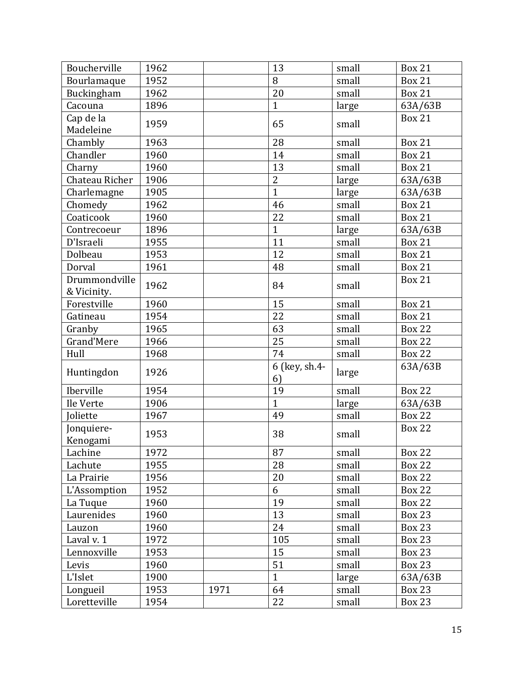| Boucherville                 | 1962 |      | 13                  | small | <b>Box 21</b> |
|------------------------------|------|------|---------------------|-------|---------------|
| Bourlamaque                  | 1952 |      | 8                   | small | <b>Box 21</b> |
| Buckingham                   | 1962 |      | 20                  | small | <b>Box 21</b> |
| Cacouna                      | 1896 |      | $\mathbf{1}$        | large | 63A/63B       |
| Cap de la<br>Madeleine       | 1959 |      | 65                  | small | <b>Box 21</b> |
| Chambly                      | 1963 |      | 28                  | small | <b>Box 21</b> |
| Chandler                     | 1960 |      | 14                  | small | <b>Box 21</b> |
| Charny                       | 1960 |      | 13                  | small | <b>Box 21</b> |
| Chateau Richer               | 1906 |      | $\overline{2}$      | large | 63A/63B       |
| Charlemagne                  | 1905 |      | $\mathbf{1}$        | large | 63A/63B       |
| Chomedy                      | 1962 |      | 46                  | small | <b>Box 21</b> |
| Coaticook                    | 1960 |      | 22                  | small | <b>Box 21</b> |
| Contrecoeur                  | 1896 |      | $\mathbf{1}$        | large | 63A/63B       |
| D'Israeli                    | 1955 |      | 11                  | small | <b>Box 21</b> |
| Dolbeau                      | 1953 |      | 12                  | small | <b>Box 21</b> |
| Dorval                       | 1961 |      | 48                  | small | <b>Box 21</b> |
| Drummondville<br>& Vicinity. | 1962 |      | 84                  | small | <b>Box 21</b> |
| Forestville                  | 1960 |      | 15                  | small | <b>Box 21</b> |
| Gatineau                     | 1954 |      | 22                  | small | <b>Box 21</b> |
| Granby                       | 1965 |      | 63                  | small | <b>Box 22</b> |
| <b>Grand'Mere</b>            | 1966 |      | 25                  | small | <b>Box 22</b> |
| Hull                         | 1968 |      | 74                  | small | <b>Box 22</b> |
| Huntingdon                   | 1926 |      | 6 (key, sh.4-<br>6) | large | 63A/63B       |
| Iberville                    | 1954 |      | 19                  | small | <b>Box 22</b> |
| Ile Verte                    | 1906 |      | $\mathbf{1}$        | large | 63A/63B       |
| oliette                      | 1967 |      | 49                  | small | <b>Box 22</b> |
| Jonquiere-<br>Kenogami       | 1953 |      | 38                  | small | <b>Box 22</b> |
| Lachine                      | 1972 |      | 87                  | small | <b>Box 22</b> |
| Lachute                      | 1955 |      | 28                  | small | <b>Box 22</b> |
| La Prairie                   | 1956 |      | 20                  | small | <b>Box 22</b> |
| L'Assomption                 | 1952 |      | 6                   | small | <b>Box 22</b> |
| La Tuque                     | 1960 |      | 19                  | small | <b>Box 22</b> |
| Laurenides                   | 1960 |      | 13                  | small | <b>Box 23</b> |
| Lauzon                       | 1960 |      | 24                  | small | <b>Box 23</b> |
| Laval v. 1                   | 1972 |      | 105                 | small | <b>Box 23</b> |
| Lennoxville                  | 1953 |      | 15                  | small | <b>Box 23</b> |
| Levis                        | 1960 |      | 51                  | small | <b>Box 23</b> |
| L'Islet                      | 1900 |      | $\mathbf{1}$        | large | 63A/63B       |
| Longueil                     | 1953 | 1971 | 64                  | small | <b>Box 23</b> |
| Loretteville                 | 1954 |      | 22                  | small | <b>Box 23</b> |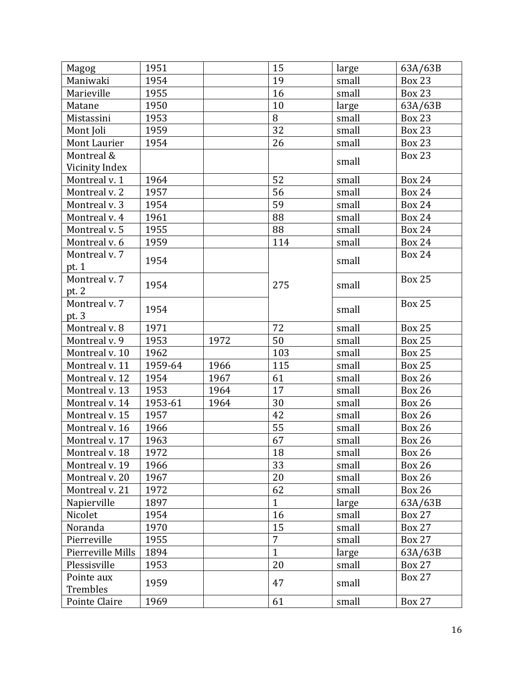| Magog             | 1951    |      | 15             | large | 63A/63B       |
|-------------------|---------|------|----------------|-------|---------------|
| Maniwaki          | 1954    |      | 19             | small | <b>Box 23</b> |
| Marieville        | 1955    |      | 16             | small | <b>Box 23</b> |
| Matane            | 1950    |      | 10             | large | 63A/63B       |
| Mistassini        | 1953    |      | 8              | small | <b>Box 23</b> |
| Mont Joli         | 1959    |      | 32             | small | <b>Box 23</b> |
| Mont Laurier      | 1954    |      | 26             | small | <b>Box 23</b> |
| Montreal &        |         |      |                |       | <b>Box 23</b> |
| Vicinity Index    |         |      |                | small |               |
| Montreal v. 1     | 1964    |      | 52             | small | <b>Box 24</b> |
| Montreal v. 2     | 1957    |      | 56             | small | <b>Box 24</b> |
| Montreal v. 3     | 1954    |      | 59             | small | <b>Box 24</b> |
| Montreal v. 4     | 1961    |      | 88             | small | <b>Box 24</b> |
| Montreal v. 5     | 1955    |      | 88             | small | <b>Box 24</b> |
| Montreal v. 6     | 1959    |      | 114            | small | <b>Box 24</b> |
| Montreal v. 7     |         |      |                |       | <b>Box 24</b> |
| pt. 1             | 1954    |      |                | small |               |
| Montreal v. 7     | 1954    |      | 275            | small | <b>Box 25</b> |
| pt. 2             |         |      |                |       |               |
| Montreal v. 7     | 1954    |      |                |       | <b>Box 25</b> |
| pt. 3             |         |      |                | small |               |
| Montreal v. 8     | 1971    |      | 72             | small | <b>Box 25</b> |
| Montreal v. 9     | 1953    | 1972 | 50             | small | <b>Box 25</b> |
| Montreal v. 10    | 1962    |      | 103            | small | <b>Box 25</b> |
| Montreal v. 11    | 1959-64 | 1966 | 115            | small | <b>Box 25</b> |
| Montreal v. 12    | 1954    | 1967 | 61             | small | <b>Box 26</b> |
| Montreal v. 13    | 1953    | 1964 | 17             | small | <b>Box 26</b> |
| Montreal v. 14    | 1953-61 | 1964 | 30             | small | <b>Box 26</b> |
| Montreal v. 15    | 1957    |      | 42             | small | <b>Box 26</b> |
| Montreal v. 16    | 1966    |      | 55             | small | <b>Box 26</b> |
| Montreal v. 17    | 1963    |      | 67             | small | <b>Box 26</b> |
| Montreal v. 18    | 1972    |      | 18             | small | <b>Box 26</b> |
| Montreal v. 19    | 1966    |      | 33             | small | <b>Box 26</b> |
| Montreal v. 20    | 1967    |      | 20             | small | <b>Box 26</b> |
| Montreal v. 21    | 1972    |      | 62             | small | <b>Box 26</b> |
| Napierville       | 1897    |      | $\mathbf{1}$   | large | 63A/63B       |
| Nicolet           | 1954    |      | 16             | small | <b>Box 27</b> |
| Noranda           | 1970    |      | 15             | small | <b>Box 27</b> |
| Pierreville       | 1955    |      | $\overline{7}$ | small | <b>Box 27</b> |
| Pierreville Mills | 1894    |      | $\mathbf{1}$   | large | 63A/63B       |
| Plessisville      | 1953    |      | 20             | small | <b>Box 27</b> |
| Pointe aux        |         |      |                |       | <b>Box 27</b> |
| Trembles          | 1959    |      | 47             | small |               |
| Pointe Claire     | 1969    |      | 61             | small | <b>Box 27</b> |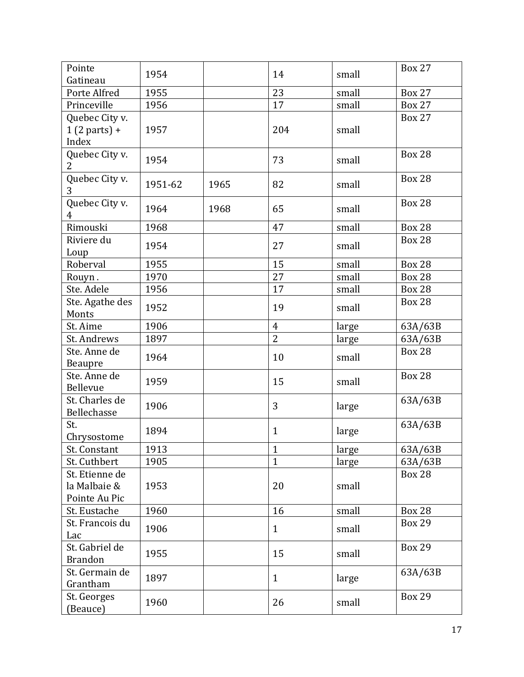| Pointe                                          | 1954    |      | 14             | small | <b>Box 27</b> |
|-------------------------------------------------|---------|------|----------------|-------|---------------|
| Gatineau                                        |         |      |                |       |               |
| Porte Alfred                                    | 1955    |      | 23             | small | <b>Box 27</b> |
| Princeville                                     | 1956    |      | 17             | small | <b>Box 27</b> |
| Quebec City v.<br>$1(2 parts) +$<br>Index       | 1957    |      | 204            | small | <b>Box 27</b> |
| Quebec City v.<br>2                             | 1954    |      | 73             | small | <b>Box 28</b> |
| Quebec City v.<br>3                             | 1951-62 | 1965 | 82             | small | <b>Box 28</b> |
| Quebec City v.<br>4                             | 1964    | 1968 | 65             | small | <b>Box 28</b> |
| Rimouski                                        | 1968    |      | 47             | small | <b>Box 28</b> |
| Riviere du<br>Loup                              | 1954    |      | 27             | small | <b>Box 28</b> |
| Roberval                                        | 1955    |      | 15             | small | <b>Box 28</b> |
| Rouyn.                                          | 1970    |      | 27             | small | <b>Box 28</b> |
| Ste. Adele                                      | 1956    |      | 17             | small | <b>Box 28</b> |
| Ste. Agathe des<br>Monts                        | 1952    |      | 19             | small | <b>Box 28</b> |
| St. Aime                                        | 1906    |      | $\overline{4}$ | large | 63A/63B       |
| St. Andrews                                     | 1897    |      | $\overline{2}$ | large | 63A/63B       |
| Ste. Anne de<br><b>Beaupre</b>                  | 1964    |      | 10             | small | <b>Box 28</b> |
| Ste. Anne de<br>Bellevue                        | 1959    |      | 15             | small | <b>Box 28</b> |
| St. Charles de<br>Bellechasse                   | 1906    |      | 3              | large | 63A/63B       |
| St.<br>Chrysostome                              | 1894    |      | $\mathbf{1}$   | large | 63A/63B       |
| St. Constant                                    | 1913    |      | $\mathbf{1}$   | large | 63A/63B       |
| St. Cuthbert                                    | 1905    |      | $\mathbf{1}$   | large | 63A/63B       |
| St. Etienne de<br>la Malbaie &<br>Pointe Au Pic | 1953    |      | 20             | small | <b>Box 28</b> |
| St. Eustache                                    | 1960    |      | 16             | small | <b>Box 28</b> |
| St. Francois du<br>Lac                          | 1906    |      | $\mathbf{1}$   | small | <b>Box 29</b> |
| St. Gabriel de<br><b>Brandon</b>                | 1955    |      | 15             | small | <b>Box 29</b> |
| St. Germain de<br>Grantham                      | 1897    |      | $\mathbf{1}$   | large | 63A/63B       |
| St. Georges<br>(Beauce)                         | 1960    |      | 26             | small | <b>Box 29</b> |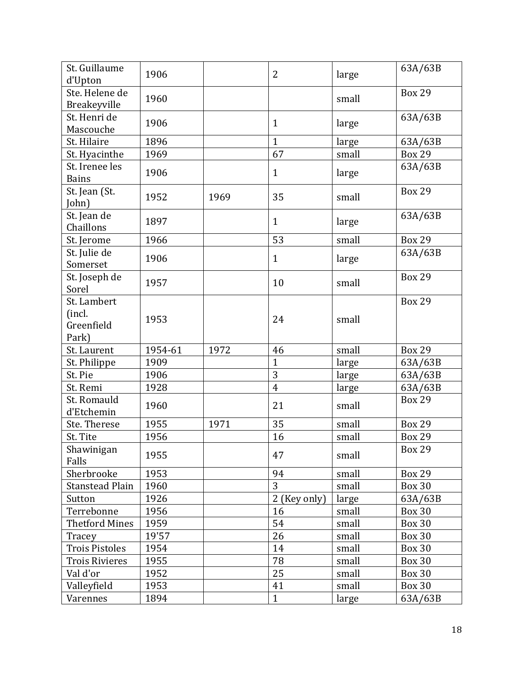| St. Guillaume<br>d'Upton                     | 1906    |      | $\overline{2}$ | large | 63A/63B       |
|----------------------------------------------|---------|------|----------------|-------|---------------|
| Ste. Helene de<br>Breakeyville               | 1960    |      |                | small | <b>Box 29</b> |
| St. Henri de<br>Mascouche                    | 1906    |      | $\mathbf{1}$   | large | 63A/63B       |
| St. Hilaire                                  | 1896    |      | $\mathbf{1}$   | large | 63A/63B       |
| St. Hyacinthe                                | 1969    |      | 67             | small | <b>Box 29</b> |
| St. Irenee les<br><b>Bains</b>               | 1906    |      | $\mathbf{1}$   | large | 63A/63B       |
| St. Jean (St.<br>John)                       | 1952    | 1969 | 35             | small | <b>Box 29</b> |
| St. Jean de<br>Chaillons                     | 1897    |      | $\mathbf{1}$   | large | 63A/63B       |
| St. Jerome                                   | 1966    |      | 53             | small | <b>Box 29</b> |
| St. Julie de<br>Somerset                     | 1906    |      | $\mathbf{1}$   | large | 63A/63B       |
| St. Joseph de<br>Sorel                       | 1957    |      | 10             | small | <b>Box 29</b> |
| St. Lambert<br>(incl.<br>Greenfield<br>Park) | 1953    |      | 24             | small | <b>Box 29</b> |
| St. Laurent                                  | 1954-61 | 1972 | 46             | small | <b>Box 29</b> |
| St. Philippe                                 | 1909    |      | $\overline{1}$ | large | 63A/63B       |
| St. Pie                                      | 1906    |      | $\overline{3}$ | large | 63A/63B       |
| St. Remi                                     | 1928    |      | $\overline{4}$ | large | 63A/63B       |
| St. Romauld<br>d'Etchemin                    | 1960    |      | 21             | small | <b>Box 29</b> |
| Ste. Therese                                 | 1955    | 1971 | 35             | small | <b>Box 29</b> |
| St. Tite                                     | 1956    |      | 16             | small | <b>Box 29</b> |
| Shawinigan<br>Falls                          | 1955    |      | 47             | small | <b>Box 29</b> |
| Sherbrooke                                   | 1953    |      | 94             | small | <b>Box 29</b> |
| <b>Stanstead Plain</b>                       | 1960    |      | 3              | small | <b>Box 30</b> |
| Sutton                                       | 1926    |      | 2 (Key only)   | large | 63A/63B       |
| Terrebonne                                   | 1956    |      | 16             | small | <b>Box 30</b> |
| <b>Thetford Mines</b>                        | 1959    |      | 54             | small | <b>Box 30</b> |
| Tracey                                       | 19'57   |      | 26             | small | <b>Box 30</b> |
| <b>Trois Pistoles</b>                        | 1954    |      | 14             | small | <b>Box 30</b> |
| <b>Trois Rivieres</b>                        | 1955    |      | 78             | small | <b>Box 30</b> |
| Val d'or                                     | 1952    |      | 25             | small | <b>Box 30</b> |
| Valleyfield                                  | 1953    |      | 41             | small | <b>Box 30</b> |
| Varennes                                     | 1894    |      | $\mathbf{1}$   | large | 63A/63B       |